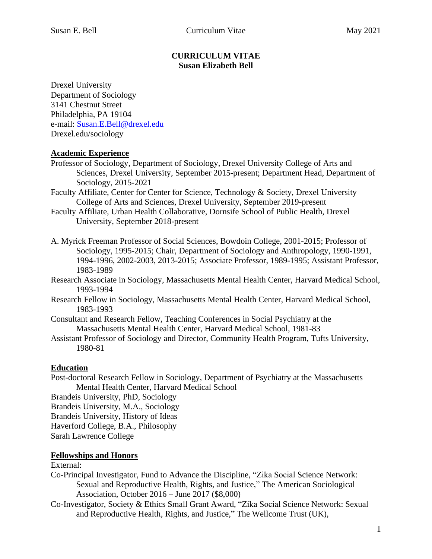## **CURRICULUM VITAE Susan Elizabeth Bell**

Drexel University Department of Sociology 3141 Chestnut Street Philadelphia, PA 19104 e-mail: [Susan.E.Bell@drexel.edu](mailto:Susan.E.Bell@drexel.edu) Drexel.edu/sociology

# **Academic Experience**

- Professor of Sociology, Department of Sociology, Drexel University College of Arts and Sciences, Drexel University, September 2015-present; Department Head, Department of Sociology, 2015-2021
- Faculty Affiliate, Center for Center for Science, Technology & Society, Drexel University College of Arts and Sciences, Drexel University, September 2019-present
- Faculty Affiliate, Urban Health Collaborative, Dornsife School of Public Health, Drexel University, September 2018-present
- A. Myrick Freeman Professor of Social Sciences, Bowdoin College, 2001-2015; Professor of Sociology, 1995-2015; Chair, Department of Sociology and Anthropology, 1990-1991, 1994-1996, 2002-2003, 2013-2015; Associate Professor, 1989-1995; Assistant Professor, 1983-1989
- Research Associate in Sociology, Massachusetts Mental Health Center, Harvard Medical School, 1993-1994
- Research Fellow in Sociology, Massachusetts Mental Health Center, Harvard Medical School, 1983-1993
- Consultant and Research Fellow, Teaching Conferences in Social Psychiatry at the Massachusetts Mental Health Center, Harvard Medical School, 1981-83
- Assistant Professor of Sociology and Director, Community Health Program, Tufts University, 1980-81

# **Education**

Post-doctoral Research Fellow in Sociology, Department of Psychiatry at the Massachusetts Mental Health Center, Harvard Medical School

Brandeis University, PhD, Sociology

Brandeis University, M.A., Sociology

Brandeis University, History of Ideas

Haverford College, B.A., Philosophy

Sarah Lawrence College

# **Fellowships and Honors**

## External:

- Co-Principal Investigator, Fund to Advance the Discipline, "Zika Social Science Network: Sexual and Reproductive Health, Rights, and Justice," The American Sociological Association, October 2016 – June 2017 (\$8,000)
- Co-Investigator, Society & Ethics Small Grant Award, "Zika Social Science Network: Sexual and Reproductive Health, Rights, and Justice," The Wellcome Trust (UK),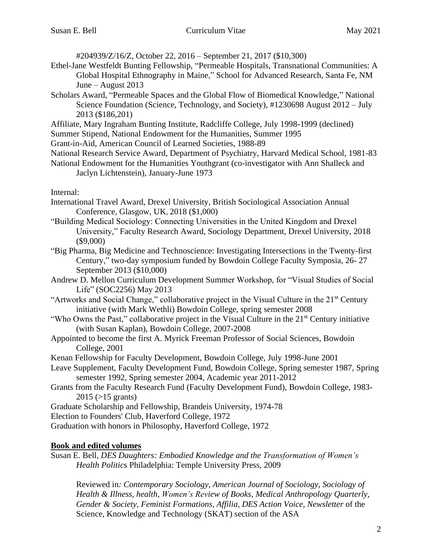#204939/Z/16/Z, October 22, 2016 – September 21, 2017 (\$10,300)

- Ethel-Jane Westfeldt Bunting Fellowship, "Permeable Hospitals, Transnational Communities: A Global Hospital Ethnography in Maine," School for Advanced Research, Santa Fe, NM June – August 2013
- Scholars Award, "Permeable Spaces and the Global Flow of Biomedical Knowledge," National Science Foundation (Science, Technology, and Society), #1230698 August 2012 – July 2013 (\$186,201)
- Affiliate, Mary Ingraham Bunting Institute, Radcliffe College, July 1998-1999 (declined)
- Summer Stipend, National Endowment for the Humanities, Summer 1995
- Grant-in-Aid, American Council of Learned Societies, 1988-89
- National Research Service Award, Department of Psychiatry, Harvard Medical School, 1981-83
- National Endowment for the Humanities Youthgrant (co-investigator with Ann Shalleck and Jaclyn Lichtenstein), January-June 1973

### Internal:

- International Travel Award, Drexel University, British Sociological Association Annual Conference, Glasgow, UK, 2018 (\$1,000)
- "Building Medical Sociology: Connecting Universities in the United Kingdom and Drexel University," Faculty Research Award, Sociology Department, Drexel University, 2018 (\$9,000)
- "Big Pharma, Big Medicine and Technoscience: Investigating Intersections in the Twenty-first Century," two-day symposium funded by Bowdoin College Faculty Symposia, 26- 27 September 2013 (\$10,000)
- Andrew D. Mellon Curriculum Development Summer Workshop, for "Visual Studies of Social Life" (SOC2256) May 2013
- "Artworks and Social Change," collaborative project in the Visual Culture in the 21<sup>st</sup> Century initiative (with Mark Wethli) Bowdoin College, spring semester 2008
- "Who Owns the Past," collaborative project in the Visual Culture in the 21<sup>st</sup> Century initiative (with Susan Kaplan), Bowdoin College, 2007-2008
- Appointed to become the first A. Myrick Freeman Professor of Social Sciences, Bowdoin College, 2001
- Kenan Fellowship for Faculty Development, Bowdoin College, July 1998-June 2001
- Leave Supplement, Faculty Development Fund, Bowdoin College, Spring semester 1987, Spring semester 1992, Spring semester 2004, Academic year 2011-2012
- Grants from the Faculty Research Fund (Faculty Development Fund), Bowdoin College, 1983-  $2015$  ( $>15$  grants)
- Graduate Scholarship and Fellowship, Brandeis University, 1974-78
- Election to Founders' Club, Haverford College, 1972
- Graduation with honors in Philosophy, Haverford College, 1972

## **Book and edited volumes**

Susan E. Bell, *DES Daughters: Embodied Knowledge and the Transformation of Women's Health Politics* Philadelphia: Temple University Press, 2009

Reviewed in*: Contemporary Sociology*, *American Journal of Sociology*, *Sociology of Health & Illness, health*, *Women's Review of Books*, *Medical Anthropology Quarterly*, *Gender & Society*, *Feminist Formations*, *Affilia*, *DES Action Voice*, *Newsletter* of the Science, Knowledge and Technology (SKAT) section of the ASA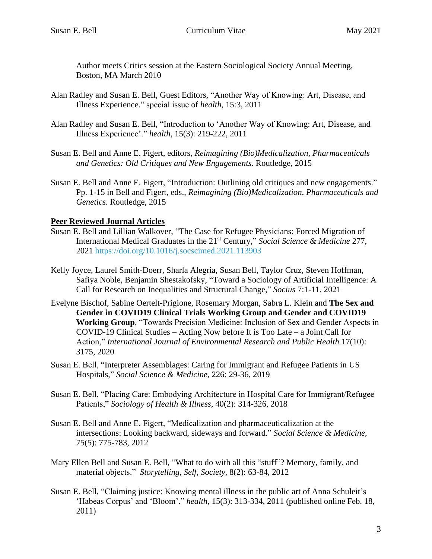Author meets Critics session at the Eastern Sociological Society Annual Meeting, Boston, MA March 2010

- Alan Radley and Susan E. Bell, Guest Editors, "Another Way of Knowing: Art, Disease, and Illness Experience." special issue of *health*, 15:3, 2011
- Alan Radley and Susan E. Bell, "Introduction to 'Another Way of Knowing: Art, Disease, and Illness Experience'." *health*, 15(3): 219-222, 2011
- Susan E. Bell and Anne E. Figert, editors, *Reimagining (Bio)Medicalization, Pharmaceuticals and Genetics: Old Critiques and New Engagements*. Routledge, 2015
- Susan E. Bell and Anne E. Figert, "Introduction: Outlining old critiques and new engagements." Pp. 1-15 in Bell and Figert, eds., *Reimagining (Bio)Medicalization, Pharmaceuticals and Genetics*. Routledge, 2015

## **Peer Reviewed Journal Articles**

- Susan E. Bell and Lillian Walkover, "The Case for Refugee Physicians: Forced Migration of International Medical Graduates in the 21st Century," *Social Science & Medicine* 277, 2021 https://doi.org/10.1016/j.socscimed.2021.113903
- Kelly Joyce, Laurel Smith-Doerr, Sharla Alegria, Susan Bell, Taylor Cruz, Steven Hoffman, Safiya Noble, Benjamin Shestakofsky, "Toward a Sociology of Artificial Intelligence: A Call for Research on Inequalities and Structural Change," *Socius* 7:1-11, 2021
- Evelyne Bischof, Sabine Oertelt-Prigione, Rosemary Morgan, Sabra L. Klein and **The Sex and Gender in COVID19 Clinical Trials Working Group and Gender and COVID19 Working Group**, "Towards Precision Medicine: Inclusion of Sex and Gender Aspects in COVID-19 Clinical Studies – Acting Now before It is Too Late – a Joint Call for Action," *International Journal of Environmental Research and Public Health* 17(10): 3175, 2020
- Susan E. Bell, "Interpreter Assemblages: Caring for Immigrant and Refugee Patients in US Hospitals," *Social Science & Medicine*, 226: 29-36, 2019
- Susan E. Bell, "Placing Care: Embodying Architecture in Hospital Care for Immigrant/Refugee Patients," *Sociology of Health & Illness*, 40(2): 314-326, 2018
- Susan E. Bell and Anne E. Figert, "Medicalization and pharmaceuticalization at the intersections: Looking backward, sideways and forward." *Social Science & Medicine*, 75(5): 775-783, 2012
- Mary Ellen Bell and Susan E. Bell, "What to do with all this "stuff"? Memory, family, and material objects." *Storytelling, Self, Society*, 8(2): 63-84, 2012
- Susan E. Bell, "Claiming justice: Knowing mental illness in the public art of Anna Schuleit's 'Habeas Corpus' and 'Bloom'." *health*, 15(3): 313-334, 2011 (published online Feb. 18, 2011)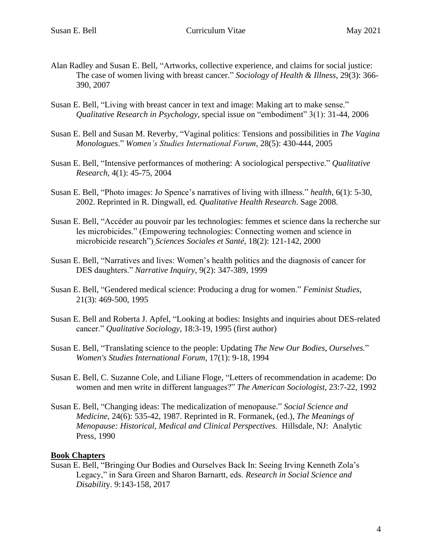- Alan Radley and Susan E. Bell, "Artworks, collective experience, and claims for social justice: The case of women living with breast cancer." *Sociology of Health & Illness*, 29(3): 366- 390, 2007
- Susan E. Bell, "Living with breast cancer in text and image: Making art to make sense." *Qualitative Research in Psychology*, special issue on "embodiment" 3(1): 31-44, 2006
- Susan E. Bell and Susan M. Reverby, "Vaginal politics: Tensions and possibilities in *The Vagina Monologues*." *Women's Studies International Forum*, 28(5): 430-444, 2005
- Susan E. Bell, "Intensive performances of mothering: A sociological perspective." *Qualitative Research*, 4(1): 45-75, 2004
- Susan E. Bell, "Photo images: Jo Spence's narratives of living with illness." *health*, 6(1): 5-30, 2002. Reprinted in R. Dingwall, ed*. Qualitative Health Research*. Sage 2008.
- Susan E. Bell, "Accéder au pouvoir par les technologies: femmes et science dans la recherche sur les microbicides." (Empowering technologies: Connecting women and science in microbicide research") *Sciences Sociales et Santé*, 18(2): 121-142, 2000
- Susan E. Bell, "Narratives and lives: Women's health politics and the diagnosis of cancer for DES daughters." *Narrative Inquiry*, 9(2): 347-389, 1999
- Susan E. Bell, "Gendered medical science: Producing a drug for women." *Feminist Studies*, 21(3): 469-500, 1995
- Susan E. Bell and Roberta J. Apfel, "Looking at bodies: Insights and inquiries about DES-related cancer." *Qualitative Sociology*, 18:3-19, 1995 (first author)
- Susan E. Bell, "Translating science to the people: Updating *The New Our Bodies, Ourselves.*" *Women's Studies International Forum*, 17(1): 9-18, 1994
- Susan E. Bell, C. Suzanne Cole, and Liliane Floge, "Letters of recommendation in academe: Do women and men write in different languages?" *The American Sociologist*, 23:7-22, 1992
- Susan E. Bell, "Changing ideas: The medicalization of menopause." *Social Science and Medicine*, 24(6): 535-42, 1987. Reprinted in R. Formanek, (ed.), *The Meanings of Menopause: Historical, Medical and Clinical Perspectives.* Hillsdale, NJ: Analytic Press, 1990

### **Book Chapters**

Susan E. Bell, "Bringing Our Bodies and Ourselves Back In: Seeing Irving Kenneth Zola's Legacy," in Sara Green and Sharon Barnartt, eds. *Research in Social Science and Disabilit*y. 9:143-158, 2017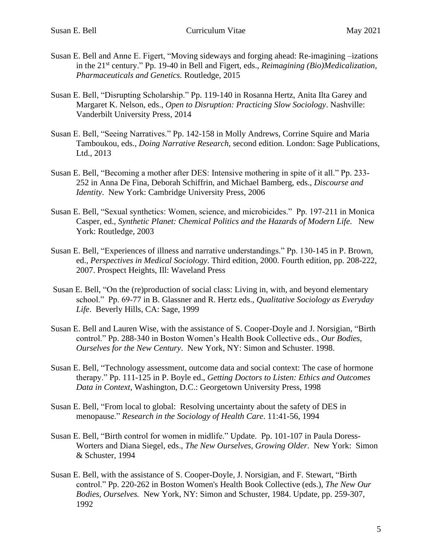- Susan E. Bell and Anne E. Figert, "Moving sideways and forging ahead: Re-imagining –izations in the 21<sup>st</sup> century." Pp. 19-40 in Bell and Figert, eds., *Reimagining (Bio)Medicalization*, *Pharmaceuticals and Genetics.* Routledge, 2015
- Susan E. Bell, "Disrupting Scholarship." Pp. 119-140 in Rosanna Hertz, Anita Ilta Garey and Margaret K. Nelson, eds., *Open to Disruption: Practicing Slow Sociology*. Nashville: Vanderbilt University Press, 2014
- Susan E. Bell, "Seeing Narratives." Pp. 142-158 in Molly Andrews, Corrine Squire and Maria Tamboukou, eds., *Doing Narrative Research*, second edition. London: Sage Publications, Ltd., 2013
- Susan E. Bell, "Becoming a mother after DES: Intensive mothering in spite of it all." Pp. 233- 252 in Anna De Fina, Deborah Schiffrin, and Michael Bamberg, eds., *Discourse and Identity*. New York: Cambridge University Press, 2006
- Susan E. Bell, "Sexual synthetics: Women, science, and microbicides." Pp. 197-211 in Monica Casper, ed., *Synthetic Planet: Chemical Politics and the Hazards of Modern Life*. New York: Routledge, 2003
- Susan E. Bell, "Experiences of illness and narrative understandings." Pp. 130-145 in P. Brown, ed., *Perspectives in Medical Sociology*. Third edition, 2000. Fourth edition, pp. 208-222, 2007. Prospect Heights, Ill: Waveland Press
- Susan E. Bell, "On the (re)production of social class: Living in, with, and beyond elementary school." Pp. 69-77 in B. Glassner and R. Hertz eds., *Qualitative Sociology as Everyday Life*. Beverly Hills, CA: Sage, 1999
- Susan E. Bell and Lauren Wise, with the assistance of S. Cooper-Doyle and J. Norsigian, "Birth control." Pp. 288-340 in Boston Women's Health Book Collective eds., *Our Bodies, Ourselves for the New Century*. New York, NY: Simon and Schuster. 1998.
- Susan E. Bell, "Technology assessment, outcome data and social context: The case of hormone therapy." Pp. 111-125 in P. Boyle ed., *Getting Doctors to Listen: Ethics and Outcomes Data in Context*, Washington, D.C.: Georgetown University Press, 1998
- Susan E. Bell, "From local to global: Resolving uncertainty about the safety of DES in menopause." *Research in the Sociology of Health Care*. 11:41-56, 1994
- Susan E. Bell, "Birth control for women in midlife." Update. Pp. 101-107 in Paula Doress-Worters and Diana Siegel, eds., *The New Ourselves, Growing Older*. New York: Simon & Schuster, 1994
- Susan E. Bell, with the assistance of S. Cooper-Doyle, J. Norsigian, and F. Stewart, "Birth control." Pp. 220-262 in Boston Women's Health Book Collective (eds.), *The New Our Bodies, Ourselves.* New York, NY: Simon and Schuster, 1984. Update, pp. 259-307, 1992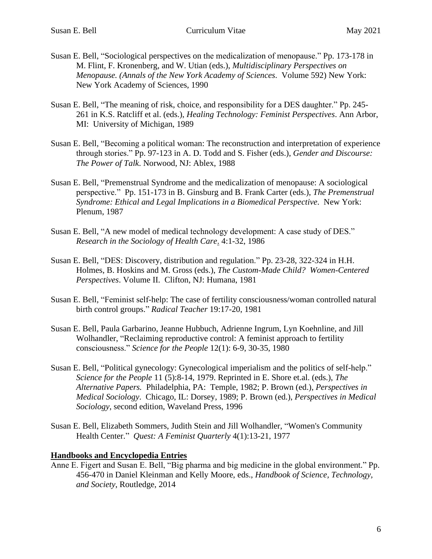- Susan E. Bell, "Sociological perspectives on the medicalization of menopause." Pp. 173-178 in M. Flint, F. Kronenberg, and W. Utian (eds.), *Multidisciplinary Perspectives on Menopause. (Annals of the New York Academy of Sciences*. Volume 592) New York: New York Academy of Sciences, 1990
- Susan E. Bell, "The meaning of risk, choice, and responsibility for a DES daughter." Pp. 245- 261 in K.S. Ratcliff et al. (eds.), *Healing Technology: Feminist Perspectives*. Ann Arbor, MI: University of Michigan, 1989
- Susan E. Bell, "Becoming a political woman: The reconstruction and interpretation of experience through stories." Pp. 97-123 in A. D. Todd and S. Fisher (eds.), *Gender and Discourse: The Power of Talk*. Norwood, NJ: Ablex, 1988
- Susan E. Bell, "Premenstrual Syndrome and the medicalization of menopause: A sociological perspective." Pp. 151-173 in B. Ginsburg and B. Frank Carter (eds.), *The Premenstrual Syndrome: Ethical and Legal Implications in a Biomedical Perspective*. New York: Plenum, 1987
- Susan E. Bell, "A new model of medical technology development: A case study of DES." *Research in the Sociology of Health Care*. 4:1-32, 1986
- Susan E. Bell, "DES: Discovery, distribution and regulation." Pp. 23-28, 322-324 in H.H. Holmes, B. Hoskins and M. Gross (eds.), *The Custom-Made Child? Women-Centered Perspectives*. Volume II. Clifton, NJ: Humana, 1981
- Susan E. Bell, "Feminist self-help: The case of fertility consciousness/woman controlled natural birth control groups." *Radical Teacher* 19:17-20, 1981
- Susan E. Bell, Paula Garbarino, Jeanne Hubbuch, Adrienne Ingrum, Lyn Koehnline, and Jill Wolhandler, "Reclaiming reproductive control: A feminist approach to fertility consciousness." *Science for the People* 12(1): 6-9, 30-35, 1980
- Susan E. Bell, "Political gynecology: Gynecological imperialism and the politics of self-help." *Science for the People* 11 (5):8-14, 1979. Reprinted in E. Shore et.al. (eds.), *The Alternative Papers.* Philadelphia, PA: Temple, 1982; P. Brown (ed.), *Perspectives in Medical Sociology*. Chicago, IL: Dorsey, 1989; P. Brown (ed.), *Perspectives in Medical Sociology*, second edition, Waveland Press, 1996
- Susan E. Bell, Elizabeth Sommers, Judith Stein and Jill Wolhandler, "Women's Community Health Center." *Quest: A Feminist Quarterly* 4(1):13-21, 1977

### **Handbooks and Encyclopedia Entries**

Anne E. Figert and Susan E. Bell, "Big pharma and big medicine in the global environment." Pp. 456-470 in Daniel Kleinman and Kelly Moore, eds., *Handbook of Science, Technology, and Society*, Routledge, 2014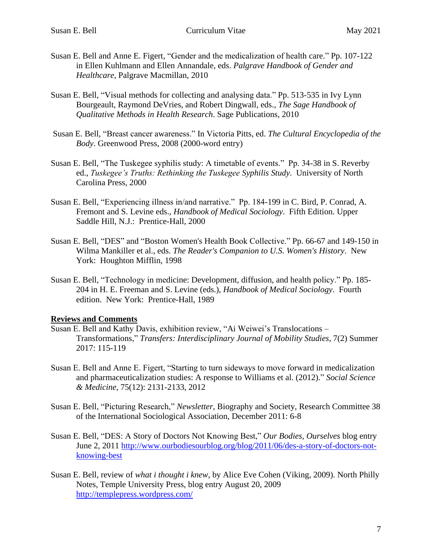- Susan E. Bell and Anne E. Figert, "Gender and the medicalization of health care." Pp. 107-122 in Ellen Kuhlmann and Ellen Annandale, eds. *Palgrave Handbook of Gender and Healthcare*, Palgrave Macmillan, 2010
- Susan E. Bell, "Visual methods for collecting and analysing data." Pp. 513-535 in Ivy Lynn Bourgeault, Raymond DeVries, and Robert Dingwall, eds., *The Sage Handbook of Qualitative Methods in Health Research*. Sage Publications, 2010
- Susan E. Bell, "Breast cancer awareness." In Victoria Pitts, ed. *The Cultural Encyclopedia of the Body*. Greenwood Press, 2008 (2000-word entry)
- Susan E. Bell, "The Tuskegee syphilis study: A timetable of events." Pp. 34-38 in S. Reverby ed., *Tuskegee's Truths: Rethinking the Tuskegee Syphilis Study*. University of North Carolina Press, 2000
- Susan E. Bell, "Experiencing illness in/and narrative." Pp. 184-199 in C. Bird, P. Conrad, A. Fremont and S. Levine eds., *Handbook of Medical Sociology*. Fifth Edition. Upper Saddle Hill, N.J.: Prentice-Hall, 2000
- Susan E. Bell, "DES" and "Boston Women's Health Book Collective." Pp. 66-67 and 149-150 in Wilma Mankiller et al., eds. *The Reader's Companion to U.S. Women's History*. New York: Houghton Mifflin, 1998
- Susan E. Bell, "Technology in medicine: Development, diffusion, and health policy." Pp. 185- 204 in H. E. Freeman and S. Levine (eds.), *Handbook of Medical Sociology*. Fourth edition. New York: Prentice-Hall, 1989

### **Reviews and Comments**

- Susan E. Bell and Kathy Davis, exhibition review, "Ai Weiwei's Translocations Transformations," *Transfers: Interdisciplinary Journal of Mobility Studies*, 7(2) Summer 2017: 115-119
- Susan E. Bell and Anne E. Figert, "Starting to turn sideways to move forward in medicalization and pharmaceuticalization studies: A response to Williams et al. (2012)." *Social Science & Medicine*, 75(12): 2131-2133, 2012
- Susan E. Bell, "Picturing Research," *Newsletter*, Biography and Society, Research Committee 38 of the International Sociological Association, December 2011: 6-8
- Susan E. Bell, "DES: A Story of Doctors Not Knowing Best," *Our Bodies, Ourselves* blog entry June 2, 2011 [http://www.ourbodiesourblog.org/blog/2011/06/des-a-story-of-doctors-not](http://www.ourbodiesourblog.org/blog/2011/06/des-a-story-of-doctors-not-knowing-best)[knowing-best](http://www.ourbodiesourblog.org/blog/2011/06/des-a-story-of-doctors-not-knowing-best)
- Susan E. Bell, review of *what i thought i knew*, by Alice Eve Cohen (Viking, 2009). North Philly Notes, Temple University Press, blog entry August 20, 2009 <http://templepress.wordpress.com/>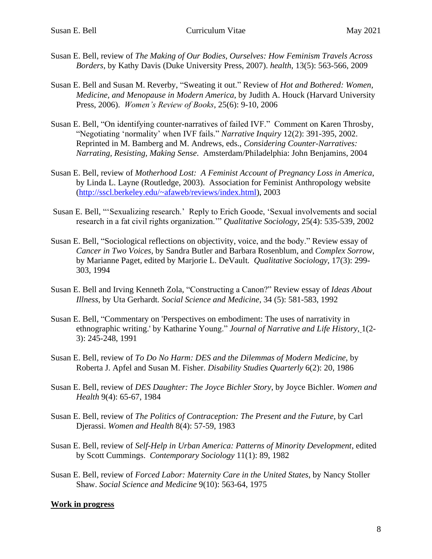- Susan E. Bell, review of *The Making of Our Bodies, Ourselves: How Feminism Travels Across Borders*, by Kathy Davis (Duke University Press, 2007). *health*, 13(5): 563-566, 2009
- Susan E. Bell and Susan M. Reverby, "Sweating it out." Review of *Hot and Bothered: Women, Medicine, and Menopause in Modern America*, by Judith A. Houck (Harvard University Press, 2006). *Women's Review of Books*, 25(6): 9-10, 2006
- Susan E. Bell, "On identifying counter-narratives of failed IVF." Comment on Karen Throsby, "Negotiating 'normality' when IVF fails." *Narrative Inquiry* 12(2): 391-395, 2002. Reprinted in M. Bamberg and M. Andrews, eds., *Considering Counter-Narratives: Narrating, Resisting, Making Sense*. Amsterdam/Philadelphia: John Benjamins, 2004
- Susan E. Bell, review of *Motherhood Lost: A Feminist Account of Pregnancy Loss in America*, by Linda L. Layne (Routledge, 2003). Association for Feminist Anthropology website [\(http://sscl.berkeley.edu/~afaweb/reviews/index.html\)](http://sscl.berkeley.edu/~afaweb/reviews/index.html), 2003
- Susan E. Bell, "'Sexualizing research.' Reply to Erich Goode, 'Sexual involvements and social research in a fat civil rights organization.'" *Qualitative Sociology*, 25(4): 535-539, 2002
- Susan E. Bell, "Sociological reflections on objectivity, voice, and the body." Review essay of *Cancer in Two Voices*, by Sandra Butler and Barbara Rosenblum, and *Complex Sorrow*, by Marianne Paget, edited by Marjorie L. DeVault*. Qualitative Sociology*, 17(3): 299- 303, 1994
- Susan E. Bell and Irving Kenneth Zola, "Constructing a Canon?" Review essay of *Ideas About Illness*, by Uta Gerhardt*. Social Science and Medicine*, 34 (5): 581-583, 1992
- Susan E. Bell, "Commentary on 'Perspectives on embodiment: The uses of narrativity in ethnographic writing.' by Katharine Young." *Journal of Narrative and Life History,* 1(2- 3): 245-248, 1991
- Susan E. Bell, review of *To Do No Harm: DES and the Dilemmas of Modern Medicine,* by Roberta J. Apfel and Susan M. Fisher. *Disability Studies Quarterly* 6(2): 20, 1986
- Susan E. Bell, review of *DES Daughter: The Joyce Bichler Story*, by Joyce Bichler. *Women and Health* 9(4): 65-67, 1984
- Susan E. Bell, review of *The Politics of Contraception: The Present and the Future,* by Carl Djerassi. *Women and Health* 8(4): 57-59, 1983
- Susan E. Bell, review of *Self-Help in Urban America: Patterns of Minority Development*, edited by Scott Cummings. *Contemporary Sociology* 11(1): 89, 1982
- Susan E. Bell, review of *Forced Labor: Maternity Care in the United States*, by Nancy Stoller Shaw. *Social Science and Medicine* 9(10): 563-64, 1975

### **Work in progress**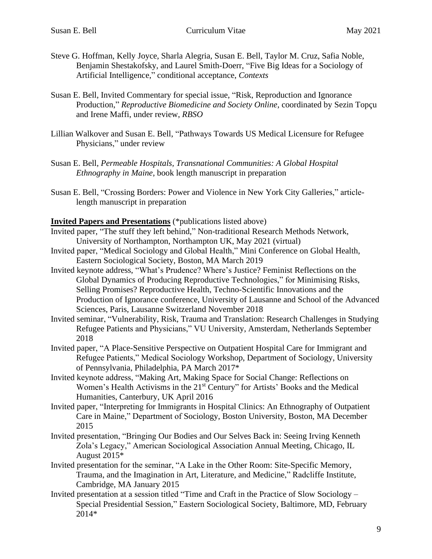- Steve G. Hoffman, Kelly Joyce, Sharla Alegria, Susan E. Bell, Taylor M. Cruz, Safia Noble, Benjamin Shestakofsky, and Laurel Smith-Doerr, "Five Big Ideas for a Sociology of Artificial Intelligence," conditional acceptance, *Contexts*
- Susan E. Bell, Invited Commentary for special issue, "Risk, Reproduction and Ignorance Production," *Reproductive Biomedicine and Society Online*, coordinated by Sezin Topçu and Irene Maffi, under review, *RBSO*
- Lillian Walkover and Susan E. Bell, "Pathways Towards US Medical Licensure for Refugee Physicians," under review
- Susan E. Bell, *Permeable Hospitals, Transnational Communities: A Global Hospital Ethnography in Maine*, book length manuscript in preparation
- Susan E. Bell, "Crossing Borders: Power and Violence in New York City Galleries," articlelength manuscript in preparation

**Invited Papers and Presentations** (\*publications listed above)

- Invited paper, "The stuff they left behind," Non-traditional Research Methods Network, University of Northampton, Northampton UK, May 2021 (virtual)
- Invited paper, "Medical Sociology and Global Health," Mini Conference on Global Health, Eastern Sociological Society, Boston, MA March 2019
- Invited keynote address, "What's Prudence? Where's Justice? Feminist Reflections on the Global Dynamics of Producing Reproductive Technologies," for Minimising Risks, Selling Promises? Reproductive Health, Techno-Scientific Innovations and the Production of Ignorance conference, University of Lausanne and School of the Advanced Sciences, Paris, Lausanne Switzerland November 2018
- Invited seminar, "Vulnerability, Risk, Trauma and Translation: Research Challenges in Studying Refugee Patients and Physicians," VU University, Amsterdam, Netherlands September 2018
- Invited paper, "A Place-Sensitive Perspective on Outpatient Hospital Care for Immigrant and Refugee Patients," Medical Sociology Workshop, Department of Sociology, University of Pennsylvania, Philadelphia, PA March 2017\*
- Invited keynote address, "Making Art, Making Space for Social Change: Reflections on Women's Health Activisms in the 21<sup>st</sup> Century" for Artists' Books and the Medical Humanities, Canterbury, UK April 2016
- Invited paper, "Interpreting for Immigrants in Hospital Clinics: An Ethnography of Outpatient Care in Maine," Department of Sociology, Boston University, Boston, MA December 2015
- Invited presentation, "Bringing Our Bodies and Our Selves Back in: Seeing Irving Kenneth Zola's Legacy," American Sociological Association Annual Meeting, Chicago, IL August 2015\*
- Invited presentation for the seminar, "A Lake in the Other Room: Site-Specific Memory, Trauma, and the Imagination in Art, Literature, and Medicine," Radcliffe Institute, Cambridge, MA January 2015
- Invited presentation at a session titled "Time and Craft in the Practice of Slow Sociology Special Presidential Session," Eastern Sociological Society, Baltimore, MD, February 2014\*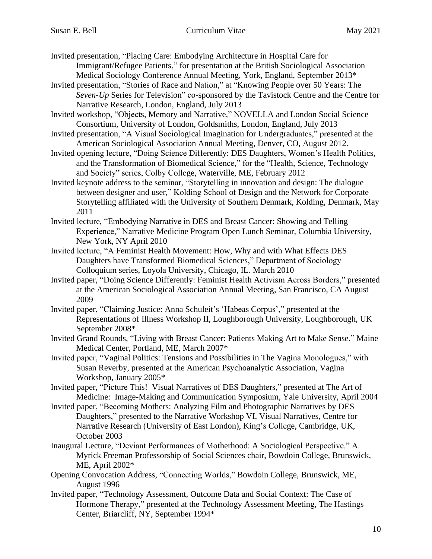Invited presentation, "Placing Care: Embodying Architecture in Hospital Care for Immigrant/Refugee Patients," for presentation at the British Sociological Association Medical Sociology Conference Annual Meeting, York, England, September 2013\*

- Invited presentation, "Stories of Race and Nation," at "Knowing People over 50 Years: The *Seven-Up* Series for Television" co-sponsored by the Tavistock Centre and the Centre for Narrative Research, London, England, July 2013
- Invited workshop, "Objects, Memory and Narrative," NOVELLA and London Social Science Consortium, University of London, Goldsmiths, London, England, July 2013
- Invited presentation, "A Visual Sociological Imagination for Undergraduates," presented at the American Sociological Association Annual Meeting, Denver, CO, August 2012.
- Invited opening lecture, "Doing Science Differently: DES Daughters, Women's Health Politics, and the Transformation of Biomedical Science," for the "Health, Science, Technology and Society" series, Colby College, Waterville, ME, February 2012
- Invited keynote address to the seminar, "Storytelling in innovation and design: The dialogue between designer and user," Kolding School of Design and the Network for Corporate Storytelling affiliated with the University of Southern Denmark, Kolding, Denmark, May 2011
- Invited lecture, "Embodying Narrative in DES and Breast Cancer: Showing and Telling Experience," Narrative Medicine Program Open Lunch Seminar, Columbia University, New York, NY April 2010
- Invited lecture, "A Feminist Health Movement: How, Why and with What Effects DES Daughters have Transformed Biomedical Sciences," Department of Sociology Colloquium series, Loyola University, Chicago, IL. March 2010
- Invited paper, "Doing Science Differently: Feminist Health Activism Across Borders," presented at the American Sociological Association Annual Meeting, San Francisco, CA August 2009
- Invited paper, "Claiming Justice: Anna Schuleit's 'Habeas Corpus'," presented at the Representations of Illness Workshop II, Loughborough University, Loughborough, UK September 2008\*
- Invited Grand Rounds, "Living with Breast Cancer: Patients Making Art to Make Sense," Maine Medical Center, Portland, ME, March 2007\*
- Invited paper, "Vaginal Politics: Tensions and Possibilities in The Vagina Monologues," with Susan Reverby, presented at the American Psychoanalytic Association, Vagina Workshop, January 2005\*
- Invited paper, "Picture This! Visual Narratives of DES Daughters," presented at The Art of Medicine: Image-Making and Communication Symposium, Yale University, April 2004
- Invited paper, "Becoming Mothers: Analyzing Film and Photographic Narratives by DES Daughters," presented to the Narrative Workshop VI, Visual Narratives, Centre for Narrative Research (University of East London), King's College, Cambridge, UK, October 2003
- Inaugural Lecture, "Deviant Performances of Motherhood: A Sociological Perspective." A. Myrick Freeman Professorship of Social Sciences chair, Bowdoin College, Brunswick, ME, April 2002\*
- Opening Convocation Address, "Connecting Worlds," Bowdoin College, Brunswick, ME, August 1996
- Invited paper, "Technology Assessment, Outcome Data and Social Context: The Case of Hormone Therapy," presented at the Technology Assessment Meeting, The Hastings Center, Briarcliff, NY, September 1994\*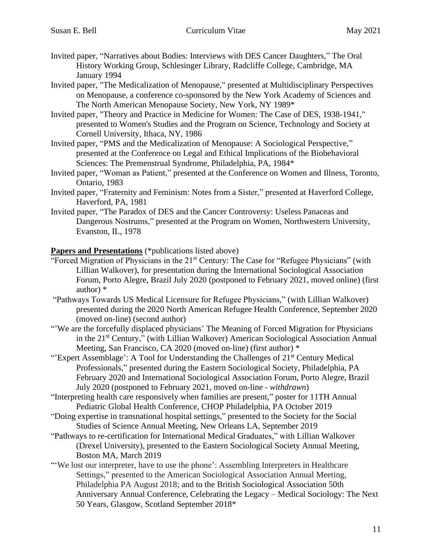- Invited paper, "Narratives about Bodies: Interviews with DES Cancer Daughters," The Oral History Working Group, Schlesinger Library, Radcliffe College, Cambridge, MA January 1994
- Invited paper, "The Medicalization of Menopause," presented at Multidisciplinary Perspectives on Menopause, a conference co-sponsored by the New York Academy of Sciences and The North American Menopause Society, New York, NY 1989\*
- Invited paper, "Theory and Practice in Medicine for Women: The Case of DES, 1938-1941," presented to Women's Studies and the Program on Science, Technology and Society at Cornell University, Ithaca, NY, 1986
- Invited paper, "PMS and the Medicalization of Menopause: A Sociological Perspective," presented at the Conference on Legal and Ethical Implications of the Biobehavioral Sciences: The Premenstrual Syndrome, Philadelphia, PA, 1984\*
- Invited paper, "Woman as Patient," presented at the Conference on Women and Illness, Toronto, Ontario, 1983
- Invited paper, "Fraternity and Feminism: Notes from a Sister," presented at Haverford College, Haverford, PA, 1981
- Invited paper, "The Paradox of DES and the Cancer Controversy: Useless Panaceas and Dangerous Nostrums," presented at the Program on Women, Northwestern University, Evanston, IL, 1978

### **Papers and Presentations** (\*publications listed above)

- "Forced Migration of Physicians in the 21st Century: The Case for "Refugee Physicians" (with Lillian Walkover), for presentation during the International Sociological Association Forum, Porto Alegre, Brazil July 2020 (postponed to February 2021, moved online) (first author) \*
- "Pathways Towards US Medical Licensure for Refugee Physicians," (with Lillian Walkover) presented during the 2020 North American Refugee Health Conference, September 2020 (moved on-line) (second author)
- "'We are the forcefully displaced physicians' The Meaning of Forced Migration for Physicians in the 21<sup>st</sup> Century," (with Lillian Walkover) American Sociological Association Annual Meeting, San Francisco, CA 2020 (moved on-line) (first author) \*
- "'Expert Assemblage': A Tool for Understanding the Challenges of 21<sup>st</sup> Century Medical Professionals," presented during the Eastern Sociological Society, Philadelphia, PA February 2020 and International Sociological Association Forum, Porto Alegre, Brazil July 2020 (postponed to February 2021, moved on-line - *withdrawn*)
- "Interpreting health care responsively when families are present," poster for 11TH Annual Pediatric Global Health Conference, CHOP Philadelphia, PA October 2019
- "Doing expertise in transnational hospital settings," presented to the Society for the Social Studies of Science Annual Meeting, New Orleans LA, September 2019
- "Pathways to re-certification for International Medical Graduates," with Lillian Walkover (Drexel University), presented to the Eastern Sociological Society Annual Meeting, Boston MA, March 2019
- "'We lost our interpreter, have to use the phone': Assembling Interpreters in Healthcare Settings," presented to the American Sociological Association Annual Meeting, Philadelphia PA August 2018; and to the British Sociological Association 50th Anniversary Annual Conference, Celebrating the Legacy – Medical Sociology: The Next 50 Years, Glasgow, Scotland September 2018\*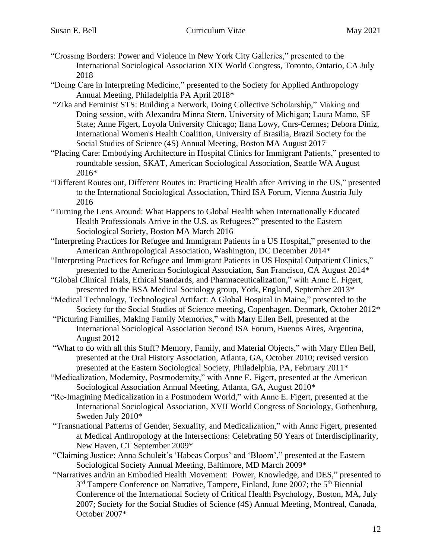- "Crossing Borders: Power and Violence in New York City Galleries," presented to the International Sociological Association XIX World Congress, Toronto, Ontario, CA July 2018
- "Doing Care in Interpreting Medicine," presented to the Society for Applied Anthropology Annual Meeting, Philadelphia PA April 2018\*
- "Zika and Feminist STS: Building a Network, Doing Collective Scholarship," Making and Doing session, with Alexandra Minna Stern, University of Michigan; Laura Mamo, SF State; Anne Figert, Loyola University Chicago; Ilana Lowy, Cnrs-Cermes; Debora Diniz, International Women's Health Coalition, University of Brasilia, Brazil Society for the Social Studies of Science (4S) Annual Meeting, Boston MA August 2017
- "Placing Care: Embodying Architecture in Hospital Clinics for Immigrant Patients," presented to roundtable session, SKAT, American Sociological Association, Seattle WA August 2016\*
- "Different Routes out, Different Routes in: Practicing Health after Arriving in the US," presented to the International Sociological Association, Third ISA Forum, Vienna Austria July 2016
- "Turning the Lens Around: What Happens to Global Health when Internationally Educated Health Professionals Arrive in the U.S. as Refugees?" presented to the Eastern Sociological Society, Boston MA March 2016
- "Interpreting Practices for Refugee and Immigrant Patients in a US Hospital," presented to the American Anthropological Association, Washington, DC December 2014\*
- "Interpreting Practices for Refugee and Immigrant Patients in US Hospital Outpatient Clinics," presented to the American Sociological Association, San Francisco, CA August 2014\*
- "Global Clinical Trials, Ethical Standards, and Pharmaceuticalization," with Anne E. Figert, presented to the BSA Medical Sociology group, York, England, September 2013\*
- "Medical Technology, Technological Artifact: A Global Hospital in Maine," presented to the Society for the Social Studies of Science meeting, Copenhagen, Denmark, October 2012\*
- "Picturing Families, Making Family Memories," with Mary Ellen Bell, presented at the International Sociological Association Second ISA Forum, Buenos Aires, Argentina, August 2012
- "What to do with all this Stuff? Memory, Family, and Material Objects," with Mary Ellen Bell, presented at the Oral History Association, Atlanta, GA, October 2010; revised version presented at the Eastern Sociological Society, Philadelphia, PA, February 2011\*
- "Medicalization, Modernity, Postmodernity," with Anne E. Figert, presented at the American Sociological Association Annual Meeting, Atlanta, GA, August 2010\*
- "Re-Imagining Medicalization in a Postmodern World," with Anne E. Figert, presented at the International Sociological Association, XVII World Congress of Sociology, Gothenburg, Sweden July 2010\*
- "Transnational Patterns of Gender, Sexuality, and Medicalization," with Anne Figert, presented at Medical Anthropology at the Intersections: Celebrating 50 Years of Interdisciplinarity, New Haven, CT September 2009\*
- "Claiming Justice: Anna Schuleit's 'Habeas Corpus' and 'Bloom'," presented at the Eastern Sociological Society Annual Meeting, Baltimore, MD March 2009\*
- "Narratives and/in an Embodied Health Movement: Power, Knowledge, and DES," presented to 3<sup>rd</sup> Tampere Conference on Narrative, Tampere, Finland, June 2007; the 5<sup>th</sup> Biennial Conference of the International Society of Critical Health Psychology, Boston, MA, July 2007; Society for the Social Studies of Science (4S) Annual Meeting, Montreal, Canada, October 2007\*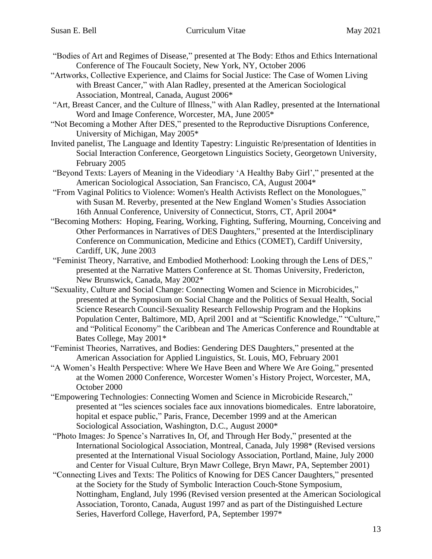- "Bodies of Art and Regimes of Disease," presented at The Body: Ethos and Ethics International Conference of The Foucault Society, New York, NY, October 2006
- "Artworks, Collective Experience, and Claims for Social Justice: The Case of Women Living with Breast Cancer," with Alan Radley, presented at the American Sociological Association, Montreal, Canada, August 2006\*
- "Art, Breast Cancer, and the Culture of Illness," with Alan Radley, presented at the International Word and Image Conference, Worcester, MA, June 2005\*
- "Not Becoming a Mother After DES," presented to the Reproductive Disruptions Conference, University of Michigan, May 2005\*
- Invited panelist, The Language and Identity Tapestry: Linguistic Re/presentation of Identities in Social Interaction Conference, Georgetown Linguistics Society, Georgetown University, February 2005
- "Beyond Texts: Layers of Meaning in the Videodiary 'A Healthy Baby Girl'," presented at the American Sociological Association, San Francisco, CA, August 2004\*
- "From Vaginal Politics to Violence: Women's Health Activists Reflect on the Monologues," with Susan M. Reverby, presented at the New England Women's Studies Association 16th Annual Conference, University of Connecticut, Storrs, CT, April 2004\*
- "Becoming Mothers: Hoping, Fearing, Working, Fighting, Suffering, Mourning, Conceiving and Other Performances in Narratives of DES Daughters," presented at the Interdisciplinary Conference on Communication, Medicine and Ethics (COMET), Cardiff University, Cardiff, UK, June 2003
- "Feminist Theory, Narrative, and Embodied Motherhood: Looking through the Lens of DES," presented at the Narrative Matters Conference at St. Thomas University, Fredericton, New Brunswick, Canada, May 2002\*
- "Sexuality, Culture and Social Change: Connecting Women and Science in Microbicides," presented at the Symposium on Social Change and the Politics of Sexual Health, Social Science Research Council-Sexuality Research Fellowship Program and the Hopkins Population Center, Baltimore, MD, April 2001 and at "Scientific Knowledge," "Culture," and "Political Economy" the Caribbean and The Americas Conference and Roundtable at Bates College, May 2001\*
- "Feminist Theories, Narratives, and Bodies: Gendering DES Daughters," presented at the American Association for Applied Linguistics, St. Louis, MO, February 2001
- "A Women's Health Perspective: Where We Have Been and Where We Are Going," presented at the Women 2000 Conference, Worcester Women's History Project, Worcester, MA, October 2000
- "Empowering Technologies: Connecting Women and Science in Microbicide Research," presented at "les sciences sociales face aux innovations biomedicales. Entre laboratoire, hopital et espace public," Paris, France, December 1999 and at the American Sociological Association, Washington, D.C., August 2000\*
- "Photo Images: Jo Spence's Narratives In, Of, and Through Her Body," presented at the International Sociological Association, Montreal, Canada, July 1998\* (Revised versions presented at the International Visual Sociology Association, Portland, Maine, July 2000 and Center for Visual Culture, Bryn Mawr College, Bryn Mawr, PA, September 2001)
- "Connecting Lives and Texts: The Politics of Knowing for DES Cancer Daughters," presented at the Society for the Study of Symbolic Interaction Couch-Stone Symposium, Nottingham, England, July 1996 (Revised version presented at the American Sociological Association, Toronto, Canada, August 1997 and as part of the Distinguished Lecture Series, Haverford College, Haverford, PA, September 1997\*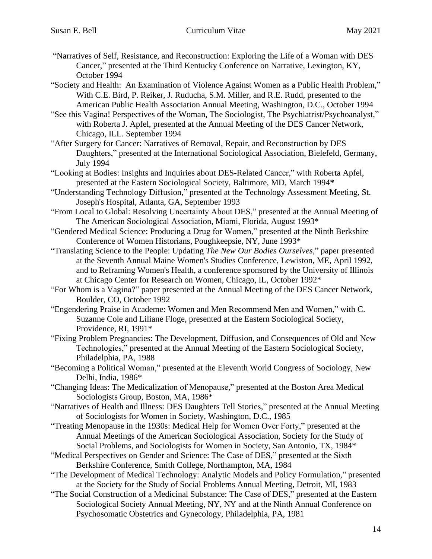- "Narratives of Self, Resistance, and Reconstruction: Exploring the Life of a Woman with DES Cancer," presented at the Third Kentucky Conference on Narrative, Lexington, KY, October 1994
- "Society and Health: An Examination of Violence Against Women as a Public Health Problem," With C.E. Bird, P. Reiker, J. Ruducha, S.M. Miller, and R.E. Rudd, presented to the American Public Health Association Annual Meeting, Washington, D.C., October 1994
- "See this Vagina! Perspectives of the Woman, The Sociologist, The Psychiatrist/Psychoanalyst," with Roberta J. Apfel, presented at the Annual Meeting of the DES Cancer Network, Chicago, ILL. September 1994
- "After Surgery for Cancer: Narratives of Removal, Repair, and Reconstruction by DES Daughters," presented at the International Sociological Association, Bielefeld, Germany, July 1994
- "Looking at Bodies: Insights and Inquiries about DES-Related Cancer," with Roberta Apfel, presented at the Eastern Sociological Society, Baltimore, MD, March 1994**\***
- "Understanding Technology Diffusion," presented at the Technology Assessment Meeting, St. Joseph's Hospital, Atlanta, GA, September 1993
- "From Local to Global: Resolving Uncertainty About DES," presented at the Annual Meeting of The American Sociological Association, Miami, Florida, August 1993\*
- "Gendered Medical Science: Producing a Drug for Women," presented at the Ninth Berkshire Conference of Women Historians, Poughkeepsie, NY, June 1993\*
- "Translating Science to the People: Updating *The New Our Bodies Ourselves*," paper presented at the Seventh Annual Maine Women's Studies Conference, Lewiston, ME, April 1992, and to Reframing Women's Health, a conference sponsored by the University of Illinois at Chicago Center for Research on Women, Chicago, IL, October 1992\*
- "For Whom is a Vagina?" paper presented at the Annual Meeting of the DES Cancer Network, Boulder, CO, October 1992
- "Engendering Praise in Academe: Women and Men Recommend Men and Women," with C. Suzanne Cole and Liliane Floge, presented at the Eastern Sociological Society, Providence, RI, 1991\*
- "Fixing Problem Pregnancies: The Development, Diffusion, and Consequences of Old and New Technologies," presented at the Annual Meeting of the Eastern Sociological Society, Philadelphia, PA, 1988
- "Becoming a Political Woman," presented at the Eleventh World Congress of Sociology, New Delhi, India, 1986\*
- "Changing Ideas: The Medicalization of Menopause," presented at the Boston Area Medical Sociologists Group, Boston, MA, 1986\*
- "Narratives of Health and Illness: DES Daughters Tell Stories," presented at the Annual Meeting of Sociologists for Women in Society, Washington, D.C., 1985
- "Treating Menopause in the 1930s: Medical Help for Women Over Forty," presented at the Annual Meetings of the American Sociological Association, Society for the Study of Social Problems, and Sociologists for Women in Society, San Antonio, TX, 1984\*
- "Medical Perspectives on Gender and Science: The Case of DES," presented at the Sixth Berkshire Conference, Smith College, Northampton, MA, 1984
- "The Development of Medical Technology: Analytic Models and Policy Formulation," presented at the Society for the Study of Social Problems Annual Meeting, Detroit, MI, 1983
- "The Social Construction of a Medicinal Substance: The Case of DES," presented at the Eastern Sociological Society Annual Meeting, NY, NY and at the Ninth Annual Conference on Psychosomatic Obstetrics and Gynecology, Philadelphia, PA, 1981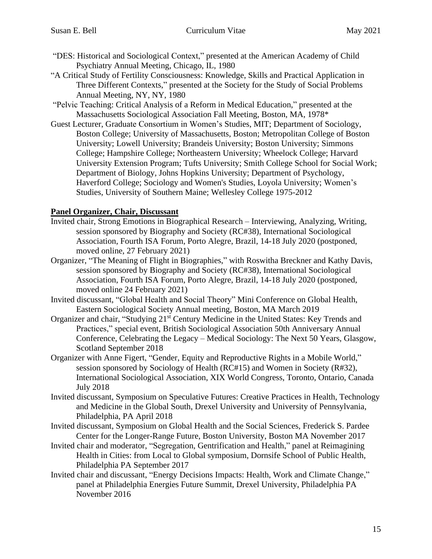- "DES: Historical and Sociological Context," presented at the American Academy of Child Psychiatry Annual Meeting, Chicago, IL, 1980
- "A Critical Study of Fertility Consciousness: Knowledge, Skills and Practical Application in Three Different Contexts," presented at the Society for the Study of Social Problems Annual Meeting, NY, NY, 1980
- "Pelvic Teaching: Critical Analysis of a Reform in Medical Education," presented at the Massachusetts Sociological Association Fall Meeting, Boston, MA, 1978\*
- Guest Lecturer, Graduate Consortium in Women's Studies, MIT; Department of Sociology, Boston College; University of Massachusetts, Boston; Metropolitan College of Boston University; Lowell University; Brandeis University; Boston University; Simmons College; Hampshire College; Northeastern University; Wheelock College; Harvard University Extension Program; Tufts University; Smith College School for Social Work; Department of Biology, Johns Hopkins University; Department of Psychology, Haverford College; Sociology and Women's Studies, Loyola University; Women's Studies, University of Southern Maine; Wellesley College 1975-2012

## **Panel Organizer, Chair, Discussant**

- Invited chair, Strong Emotions in Biographical Research Interviewing, Analyzing, Writing, session sponsored by Biography and Society (RC#38), International Sociological Association, Fourth ISA Forum, Porto Alegre, Brazil, 14-18 July 2020 (postponed, moved online, 27 February 2021)
- Organizer, "The Meaning of Flight in Biographies," with Roswitha Breckner and Kathy Davis, session sponsored by Biography and Society (RC#38), International Sociological Association, Fourth ISA Forum, Porto Alegre, Brazil, 14-18 July 2020 (postponed, moved online 24 February 2021)
- Invited discussant, "Global Health and Social Theory" Mini Conference on Global Health, Eastern Sociological Society Annual meeting, Boston, MA March 2019
- Organizer and chair, "Studying 21<sup>st</sup> Century Medicine in the United States: Key Trends and Practices," special event, British Sociological Association 50th Anniversary Annual Conference, Celebrating the Legacy – Medical Sociology: The Next 50 Years, Glasgow, Scotland September 2018
- Organizer with Anne Figert, "Gender, Equity and Reproductive Rights in a Mobile World," session sponsored by Sociology of Health (RC#15) and Women in Society (R#32), International Sociological Association, XIX World Congress, Toronto, Ontario, Canada July 2018
- Invited discussant, Symposium on Speculative Futures: Creative Practices in Health, Technology and Medicine in the Global South, Drexel University and University of Pennsylvania, Philadelphia, PA April 2018
- Invited discussant, Symposium on Global Health and the Social Sciences, Frederick S. Pardee Center for the Longer-Range Future, Boston University, Boston MA November 2017
- Invited chair and moderator, "Segregation, Gentrification and Health," panel at Reimagining Health in Cities: from Local to Global symposium, Dornsife School of Public Health, Philadelphia PA September 2017
- Invited chair and discussant, "Energy Decisions Impacts: Health, Work and Climate Change," panel at Philadelphia Energies Future Summit, Drexel University, Philadelphia PA November 2016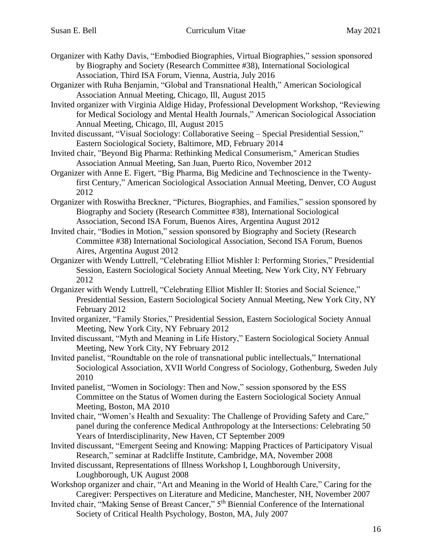- Organizer with Kathy Davis, "Embodied Biographies, Virtual Biographies," session sponsored by Biography and Society (Research Committee #38), International Sociological Association, Third ISA Forum, Vienna, Austria, July 2016
- Organizer with Ruha Benjamin, "Global and Transnational Health," American Sociological Association Annual Meeting, Chicago, Ill, August 2015
- Invited organizer with Virginia Aldige Hiday, Professional Development Workshop, "Reviewing for Medical Sociology and Mental Health Journals," American Sociological Association Annual Meeting, Chicago, Ill, August 2015
- Invited discussant, "Visual Sociology: Collaborative Seeing Special Presidential Session," Eastern Sociological Society, Baltimore, MD, February 2014
- Invited chair, "Beyond Big Pharma: Rethinking Medical Consumerism," American Studies Association Annual Meeting, San Juan, Puerto Rico, November 2012
- Organizer with Anne E. Figert, "Big Pharma, Big Medicine and Technoscience in the Twentyfirst Century," American Sociological Association Annual Meeting, Denver, CO August 2012
- Organizer with Roswitha Breckner, "Pictures, Biographies, and Families," session sponsored by Biography and Society (Research Committee #38), International Sociological Association, Second ISA Forum, Buenos Aires, Argentina August 2012
- Invited chair, "Bodies in Motion," session sponsored by Biography and Society (Research Committee #38) International Sociological Association, Second ISA Forum, Buenos Aires, Argentina August 2012
- Organizer with Wendy Luttrell, "Celebrating Elliot Mishler I: Performing Stories," Presidential Session, Eastern Sociological Society Annual Meeting, New York City, NY February 2012
- Organizer with Wendy Luttrell, "Celebrating Elliot Mishler II: Stories and Social Science," Presidential Session, Eastern Sociological Society Annual Meeting, New York City, NY February 2012
- Invited organizer, "Family Stories," Presidential Session, Eastern Sociological Society Annual Meeting, New York City, NY February 2012
- Invited discussant, "Myth and Meaning in Life History," Eastern Sociological Society Annual Meeting, New York City, NY February 2012
- Invited panelist, "Roundtable on the role of transnational public intellectuals," International Sociological Association, XVII World Congress of Sociology, Gothenburg, Sweden July 2010
- Invited panelist, "Women in Sociology: Then and Now," session sponsored by the ESS Committee on the Status of Women during the Eastern Sociological Society Annual Meeting, Boston, MA 2010
- Invited chair, "Women's Health and Sexuality: The Challenge of Providing Safety and Care," panel during the conference Medical Anthropology at the Intersections: Celebrating 50 Years of Interdisciplinarity, New Haven, CT September 2009
- Invited discussant, "Emergent Seeing and Knowing: Mapping Practices of Participatory Visual Research," seminar at Radcliffe Institute, Cambridge, MA, November 2008
- Invited discussant, Representations of Illness Workshop I, Loughborough University, Loughborough, UK August 2008
- Workshop organizer and chair, "Art and Meaning in the World of Health Care," Caring for the Caregiver: Perspectives on Literature and Medicine, Manchester, NH, November 2007
- Invited chair, "Making Sense of Breast Cancer," 5th Biennial Conference of the International Society of Critical Health Psychology, Boston, MA, July 2007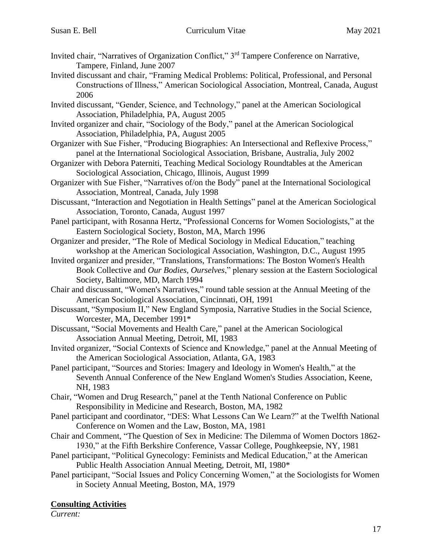- Invited chair, "Narratives of Organization Conflict," 3rd Tampere Conference on Narrative, Tampere, Finland, June 2007
- Invited discussant and chair, "Framing Medical Problems: Political, Professional, and Personal Constructions of Illness," American Sociological Association, Montreal, Canada, August 2006
- Invited discussant, "Gender, Science, and Technology," panel at the American Sociological Association, Philadelphia, PA, August 2005
- Invited organizer and chair, "Sociology of the Body," panel at the American Sociological Association, Philadelphia, PA, August 2005
- Organizer with Sue Fisher, "Producing Biographies: An Intersectional and Reflexive Process," panel at the International Sociological Association, Brisbane, Australia, July 2002
- Organizer with Debora Paterniti, Teaching Medical Sociology Roundtables at the American Sociological Association, Chicago, Illinois, August 1999
- Organizer with Sue Fisher, "Narratives of/on the Body" panel at the International Sociological Association, Montreal, Canada, July 1998
- Discussant, "Interaction and Negotiation in Health Settings" panel at the American Sociological Association, Toronto, Canada, August 1997
- Panel participant, with Rosanna Hertz, "Professional Concerns for Women Sociologists," at the Eastern Sociological Society, Boston, MA, March 1996
- Organizer and presider, "The Role of Medical Sociology in Medical Education," teaching workshop at the American Sociological Association, Washington, D.C., August 1995
- Invited organizer and presider, "Translations, Transformations: The Boston Women's Health Book Collective and *Our Bodies, Ourselves*," plenary session at the Eastern Sociological Society, Baltimore, MD, March 1994
- Chair and discussant, "Women's Narratives," round table session at the Annual Meeting of the American Sociological Association, Cincinnati, OH, 1991
- Discussant, "Symposium II," New England Symposia, Narrative Studies in the Social Science, Worcester, MA, December 1991\*
- Discussant, "Social Movements and Health Care," panel at the American Sociological Association Annual Meeting, Detroit, MI, 1983
- Invited organizer, "Social Contexts of Science and Knowledge," panel at the Annual Meeting of the American Sociological Association, Atlanta, GA, 1983
- Panel participant, "Sources and Stories: Imagery and Ideology in Women's Health," at the Seventh Annual Conference of the New England Women's Studies Association, Keene, NH, 1983
- Chair, "Women and Drug Research," panel at the Tenth National Conference on Public Responsibility in Medicine and Research, Boston, MA, 1982
- Panel participant and coordinator, "DES: What Lessons Can We Learn?" at the Twelfth National Conference on Women and the Law, Boston, MA, 1981
- Chair and Comment, "The Question of Sex in Medicine: The Dilemma of Women Doctors 1862- 1930," at the Fifth Berkshire Conference, Vassar College, Poughkeepsie, NY, 1981
- Panel participant, "Political Gynecology: Feminists and Medical Education," at the American Public Health Association Annual Meeting, Detroit, MI, 1980\*
- Panel participant, "Social Issues and Policy Concerning Women," at the Sociologists for Women in Society Annual Meeting, Boston, MA, 1979

# **Consulting Activities**

*Current:*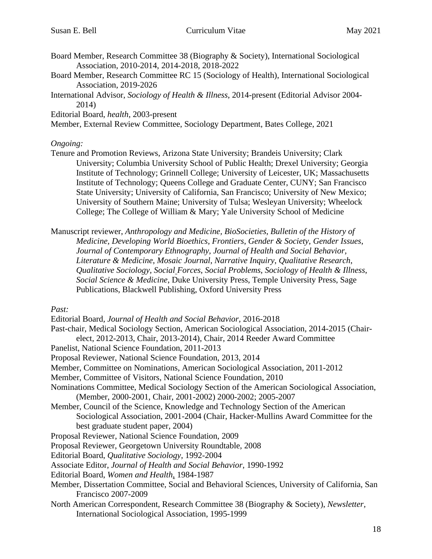- Board Member, Research Committee 38 (Biography & Society), International Sociological Association, 2010-2014, 2014-2018, 2018-2022
- Board Member, Research Committee RC 15 (Sociology of Health), International Sociological Association, 2019-2026
- International Advisor, *Sociology of Health & Illness*, 2014-present (Editorial Advisor 2004- 2014)

Editorial Board, *health*, 2003-present

Member, External Review Committee, Sociology Department, Bates College, 2021

### *Ongoing:*

Tenure and Promotion Reviews, Arizona State University; Brandeis University; Clark University; Columbia University School of Public Health; Drexel University; Georgia Institute of Technology; Grinnell College; University of Leicester, UK; Massachusetts Institute of Technology; Queens College and Graduate Center, CUNY; San Francisco State University; University of California, San Francisco; University of New Mexico; University of Southern Maine; University of Tulsa; Wesleyan University; Wheelock College; The College of William & Mary; Yale University School of Medicine

Manuscript reviewer, *Anthropology and Medicine, BioSocieties*, *Bulletin of the History of Medicine, Developing World Bioethics, Frontiers*, *Gender & Society*, *Gender Issues*, *Journal of Contemporary Ethnography, Journal of Health and Social Behavior, Literature & Medicine*, *Mosaic Journal*, *Narrative Inquiry*, *Qualitative Research*, *Qualitative Sociology, Social Forces*, *Social Problems*, *Sociology of Health & Illness*, *Social Science & Medicine*, Duke University Press, Temple University Press, Sage Publications, Blackwell Publishing, Oxford University Press

*Past:*

Editorial Board*, Journal of Health and Social Behavior,* 2016-2018 Past-chair, Medical Sociology Section, American Sociological Association, 2014-2015 (Chairelect, 2012-2013, Chair, 2013-2014), Chair, 2014 Reeder Award Committee Panelist, National Science Foundation, 2011-2013 Proposal Reviewer, National Science Foundation, 2013, 2014 Member, Committee on Nominations, American Sociological Association, 2011-2012 Member, Committee of Visitors, National Science Foundation, 2010 Nominations Committee, Medical Sociology Section of the American Sociological Association, (Member, 2000-2001, Chair, 2001-2002) 2000-2002; 2005-2007 Member, Council of the Science, Knowledge and Technology Section of the American Sociological Association, 2001-2004 (Chair, Hacker-Mullins Award Committee for the best graduate student paper, 2004) Proposal Reviewer, National Science Foundation, 2009 Proposal Reviewer, Georgetown University Roundtable, 2008 Editorial Board, *Qualitative Sociology*, 1992-2004 Associate Editor, *Journal of Health and Social Behavior*, 1990-1992 Editorial Board, *Women and Health*, 1984-1987 Member, Dissertation Committee, Social and Behavioral Sciences, University of California, San Francisco 2007-2009 North American Correspondent, Research Committee 38 (Biography & Society), *Newsletter,*

International Sociological Association, 1995-1999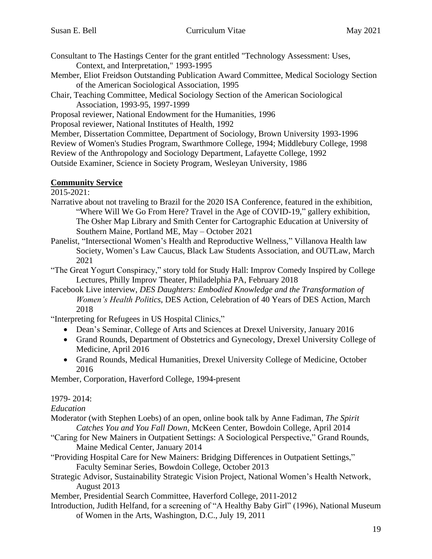- Consultant to The Hastings Center for the grant entitled "Technology Assessment: Uses, Context, and Interpretation," 1993-1995
- Member, Eliot Freidson Outstanding Publication Award Committee, Medical Sociology Section of the American Sociological Association, 1995
- Chair, Teaching Committee, Medical Sociology Section of the American Sociological Association, 1993-95, 1997-1999
- Proposal reviewer, National Endowment for the Humanities, 1996

Proposal reviewer, National Institutes of Health, 1992

Member, Dissertation Committee, Department of Sociology, Brown University 1993-1996

Review of Women's Studies Program, Swarthmore College, 1994; Middlebury College, 1998

Review of the Anthropology and Sociology Department, Lafayette College, 1992

Outside Examiner, Science in Society Program, Wesleyan University, 1986

## **Community Service**

2015-2021:

- Narrative about not traveling to Brazil for the 2020 ISA Conference, featured in the exhibition, "Where Will We Go From Here? Travel in the Age of COVID-19," gallery exhibition, The Osher Map Library and Smith Center for Cartographic Education at University of Southern Maine, Portland ME, May – October 2021
- Panelist, "Intersectional Women's Health and Reproductive Wellness," Villanova Health law Society, Women's Law Caucus, Black Law Students Association, and OUTLaw, March 2021
- "The Great Yogurt Conspiracy," story told for Study Hall: Improv Comedy Inspired by College Lectures, Philly Improv Theater, Philadelphia PA, February 2018
- Facebook Live interview, *DES Daughters: Embodied Knowledge and the Transformation of Women's Health Politics*, DES Action, Celebration of 40 Years of DES Action, March 2018

"Interpreting for Refugees in US Hospital Clinics,"

- Dean's Seminar, College of Arts and Sciences at Drexel University, January 2016
- Grand Rounds, Department of Obstetrics and Gynecology, Drexel University College of Medicine, April 2016
- Grand Rounds, Medical Humanities, Drexel University College of Medicine, October 2016

Member, Corporation, Haverford College, 1994-present

1979- 2014:

*Education*

- Moderator (with Stephen Loebs) of an open, online book talk by Anne Fadiman*, The Spirit Catches You and You Fall Down,* McKeen Center, Bowdoin College, April 2014
- "Caring for New Mainers in Outpatient Settings: A Sociological Perspective," Grand Rounds, Maine Medical Center, January 2014
- "Providing Hospital Care for New Mainers: Bridging Differences in Outpatient Settings," Faculty Seminar Series, Bowdoin College, October 2013
- Strategic Advisor, Sustainability Strategic Vision Project, National Women's Health Network, August 2013
- Member, Presidential Search Committee, Haverford College, 2011-2012
- Introduction, Judith Helfand, for a screening of "A Healthy Baby Girl" (1996), National Museum of Women in the Arts, Washington, D.C., July 19, 2011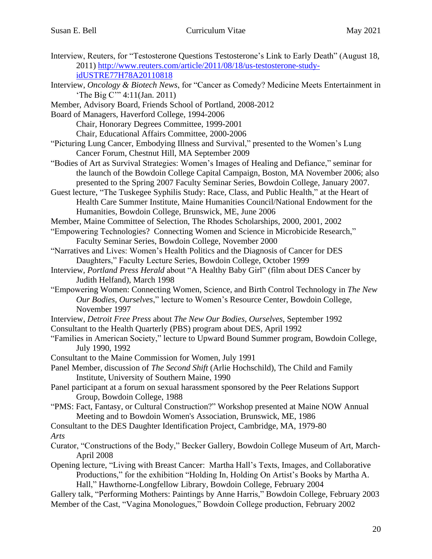- Interview, Reuters, for "Testosterone Questions Testosterone's Link to Early Death" (August 18, 2011) [http://www.reuters.com/article/2011/08/18/us-testosterone-study](http://www.reuters.com/article/2011/08/18/us-testosterone-study-idUSTRE77H78A20110818)[idUSTRE77H78A20110818](http://www.reuters.com/article/2011/08/18/us-testosterone-study-idUSTRE77H78A20110818)
- Interview, *Oncology & Biotech News*, for "Cancer as Comedy? Medicine Meets Entertainment in 'The Big C'" 4:11(Jan. 2011)
- Member, Advisory Board, Friends School of Portland, 2008-2012
- Board of Managers, Haverford College, 1994-2006

Chair, Honorary Degrees Committee, 1999-2001

Chair, Educational Affairs Committee, 2000-2006

- "Picturing Lung Cancer, Embodying Illness and Survival," presented to the Women's Lung Cancer Forum, Chestnut Hill, MA September 2009
- "Bodies of Art as Survival Strategies: Women's Images of Healing and Defiance," seminar for the launch of the Bowdoin College Capital Campaign, Boston, MA November 2006; also presented to the Spring 2007 Faculty Seminar Series, Bowdoin College, January 2007.
- Guest lecture, "The Tuskegee Syphilis Study: Race, Class, and Public Health," at the Heart of Health Care Summer Institute, Maine Humanities Council/National Endowment for the Humanities, Bowdoin College, Brunswick, ME, June 2006
- Member, Maine Committee of Selection, The Rhodes Scholarships, 2000, 2001, 2002
- "Empowering Technologies? Connecting Women and Science in Microbicide Research," Faculty Seminar Series, Bowdoin College, November 2000
- "Narratives and Lives: Women's Health Politics and the Diagnosis of Cancer for DES Daughters," Faculty Lecture Series, Bowdoin College, October 1999
- Interview*, Portland Press Herald* about "A Healthy Baby Girl" (film about DES Cancer by Judith Helfand), March 1998
- "Empowering Women: Connecting Women, Science, and Birth Control Technology in *The New Our Bodies, Ourselves*," lecture to Women's Resource Center, Bowdoin College, November 1997
- Interview, *Detroit Free Press* about *The New Our Bodies, Ourselves*, September 1992
- Consultant to the Health Quarterly (PBS) program about DES, April 1992
- "Families in American Society," lecture to Upward Bound Summer program, Bowdoin College, July 1990, 1992
- Consultant to the Maine Commission for Women, July 1991
- Panel Member, discussion of *The Second Shift* (Arlie Hochschild), The Child and Family Institute, University of Southern Maine, 1990
- Panel participant at a forum on sexual harassment sponsored by the Peer Relations Support Group, Bowdoin College, 1988
- "PMS: Fact, Fantasy, or Cultural Construction?" Workshop presented at Maine NOW Annual Meeting and to Bowdoin Women's Association, Brunswick, ME, 1986
- Consultant to the DES Daughter Identification Project, Cambridge, MA, 1979-80 *Arts*
- Curator, "Constructions of the Body," Becker Gallery, Bowdoin College Museum of Art, March-April 2008
- Opening lecture, "Living with Breast Cancer: Martha Hall's Texts, Images, and Collaborative Productions," for the exhibition "Holding In, Holding On Artist's Books by Martha A. Hall," Hawthorne-Longfellow Library, Bowdoin College, February 2004
- Gallery talk, "Performing Mothers: Paintings by Anne Harris," Bowdoin College, February 2003 Member of the Cast, "Vagina Monologues," Bowdoin College production, February 2002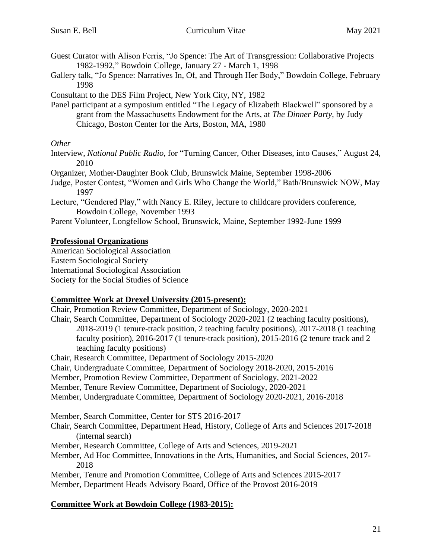- Guest Curator with Alison Ferris, "Jo Spence: The Art of Transgression: Collaborative Projects 1982-1992," Bowdoin College, January 27 - March 1, 1998
- Gallery talk, "Jo Spence: Narratives In, Of, and Through Her Body," Bowdoin College, February 1998

Consultant to the DES Film Project, New York City, NY, 1982

Panel participant at a symposium entitled "The Legacy of Elizabeth Blackwell" sponsored by a grant from the Massachusetts Endowment for the Arts, at *The Dinner Party*, by Judy Chicago, Boston Center for the Arts, Boston, MA, 1980

### *Other*

- Interview, *National Public Radio*, for "Turning Cancer, Other Diseases, into Causes," August 24, 2010
- Organizer, Mother-Daughter Book Club, Brunswick Maine, September 1998-2006
- Judge, Poster Contest, "Women and Girls Who Change the World," Bath/Brunswick NOW, May 1997
- Lecture, "Gendered Play," with Nancy E. Riley, lecture to childcare providers conference, Bowdoin College, November 1993
- Parent Volunteer, Longfellow School, Brunswick, Maine, September 1992-June 1999

## **Professional Organizations**

American Sociological Association Eastern Sociological Society International Sociological Association Society for the Social Studies of Science

# **Committee Work at Drexel University (2015-present):**

Chair, Promotion Review Committee, Department of Sociology, 2020-2021

Chair, Search Committee, Department of Sociology 2020-2021 (2 teaching faculty positions), 2018-2019 (1 tenure-track position, 2 teaching faculty positions), 2017-2018 (1 teaching faculty position), 2016-2017 (1 tenure-track position), 2015-2016 (2 tenure track and 2 teaching faculty positions)

Chair, Research Committee, Department of Sociology 2015-2020

- Chair, Undergraduate Committee, Department of Sociology 2018-2020, 2015-2016
- Member, Promotion Review Committee, Department of Sociology, 2021-2022
- Member, Tenure Review Committee, Department of Sociology, 2020-2021
- Member, Undergraduate Committee, Department of Sociology 2020-2021, 2016-2018

Member, Search Committee, Center for STS 2016-2017

- Chair, Search Committee, Department Head, History, College of Arts and Sciences 2017-2018 (internal search)
- Member, Research Committee, College of Arts and Sciences, 2019-2021
- Member, Ad Hoc Committee, Innovations in the Arts, Humanities, and Social Sciences, 2017- 2018

Member, Tenure and Promotion Committee, College of Arts and Sciences 2015-2017 Member, Department Heads Advisory Board, Office of the Provost 2016-2019

## **Committee Work at Bowdoin College (1983-2015):**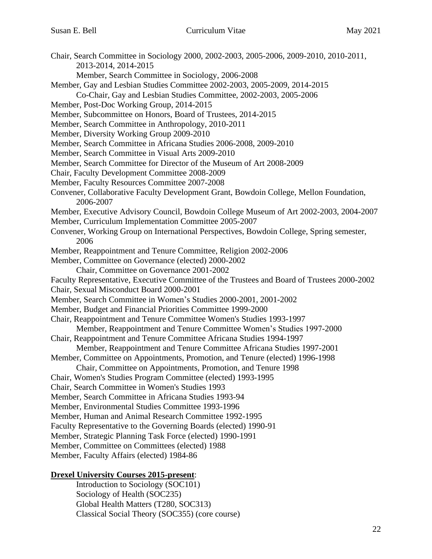- Chair, Search Committee in Sociology 2000, 2002-2003, 2005-2006, 2009-2010, 2010-2011, 2013-2014, 2014-2015
	- Member, Search Committee in Sociology, 2006-2008
- Member, Gay and Lesbian Studies Committee 2002-2003, 2005-2009, 2014-2015

Co-Chair, Gay and Lesbian Studies Committee, 2002-2003, 2005-2006

Member, Post-Doc Working Group, 2014-2015

Member, Subcommittee on Honors, Board of Trustees, 2014-2015

- Member, Search Committee in Anthropology, 2010-2011
- Member, Diversity Working Group 2009-2010
- Member, Search Committee in Africana Studies 2006-2008, 2009-2010
- Member, Search Committee in Visual Arts 2009-2010
- Member, Search Committee for Director of the Museum of Art 2008-2009
- Chair, Faculty Development Committee 2008-2009
- Member, Faculty Resources Committee 2007-2008
- Convener, Collaborative Faculty Development Grant, Bowdoin College, Mellon Foundation, 2006-2007
- Member, Executive Advisory Council, Bowdoin College Museum of Art 2002-2003, 2004-2007
- Member, Curriculum Implementation Committee 2005-2007
- Convener, Working Group on International Perspectives, Bowdoin College, Spring semester, 2006
- Member, Reappointment and Tenure Committee, Religion 2002-2006
- Member, Committee on Governance (elected) 2000-2002
	- Chair, Committee on Governance 2001-2002
- Faculty Representative, Executive Committee of the Trustees and Board of Trustees 2000-2002
- Chair, Sexual Misconduct Board 2000-2001
- Member, Search Committee in Women's Studies 2000-2001, 2001-2002
- Member, Budget and Financial Priorities Committee 1999-2000
- Chair, Reappointment and Tenure Committee Women's Studies 1993-1997
- Member, Reappointment and Tenure Committee Women's Studies 1997-2000
- Chair, Reappointment and Tenure Committee Africana Studies 1994-1997
	- Member, Reappointment and Tenure Committee Africana Studies 1997-2001
- Member, Committee on Appointments, Promotion, and Tenure (elected) 1996-1998
	- Chair, Committee on Appointments, Promotion, and Tenure 1998
- Chair, Women's Studies Program Committee (elected) 1993-1995
- Chair, Search Committee in Women's Studies 1993
- Member, Search Committee in Africana Studies 1993-94
- Member, Environmental Studies Committee 1993-1996
- Member, Human and Animal Research Committee 1992-1995
- Faculty Representative to the Governing Boards (elected) 1990-91
- Member, Strategic Planning Task Force (elected) 1990-1991
- Member, Committee on Committees (elected) 1988
- Member, Faculty Affairs (elected) 1984-86

## **Drexel University Courses 2015-present**:

Introduction to Sociology (SOC101) Sociology of Health (SOC235) Global Health Matters (T280, SOC313) Classical Social Theory (SOC355) (core course)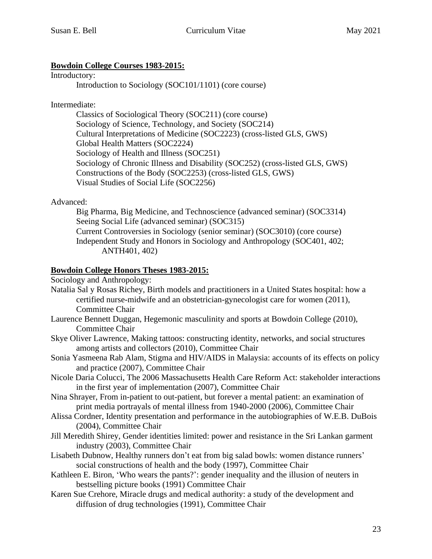## **Bowdoin College Courses 1983-2015:**

Introductory:

Introduction to Sociology (SOC101/1101) (core course)

Intermediate:

Classics of Sociological Theory (SOC211) (core course) Sociology of Science, Technology, and Society (SOC214) Cultural Interpretations of Medicine (SOC2223) (cross-listed GLS, GWS) Global Health Matters (SOC2224) Sociology of Health and Illness (SOC251) Sociology of Chronic Illness and Disability (SOC252) (cross-listed GLS, GWS) Constructions of the Body (SOC2253) (cross-listed GLS, GWS) Visual Studies of Social Life (SOC2256)

Advanced:

Big Pharma, Big Medicine, and Technoscience (advanced seminar) (SOC3314) Seeing Social Life (advanced seminar) (SOC315) Current Controversies in Sociology (senior seminar) (SOC3010) (core course) Independent Study and Honors in Sociology and Anthropology (SOC401, 402; ANTH401, 402)

## **Bowdoin College Honors Theses 1983-2015:**

Sociology and Anthropology:

- Natalia Sal y Rosas Richey, Birth models and practitioners in a United States hospital: how a certified nurse-midwife and an obstetrician-gynecologist care for women (2011), Committee Chair
- Laurence Bennett Duggan, Hegemonic masculinity and sports at Bowdoin College (2010), Committee Chair
- Skye Oliver Lawrence, Making tattoos: constructing identity, networks, and social structures among artists and collectors (2010), Committee Chair
- Sonia Yasmeena Rab Alam, Stigma and HIV/AIDS in Malaysia: accounts of its effects on policy and practice (2007), Committee Chair
- Nicole Daria Colucci, The 2006 Massachusetts Health Care Reform Act: stakeholder interactions in the first year of implementation (2007), Committee Chair
- Nina Shrayer, From in-patient to out-patient, but forever a mental patient: an examination of print media portrayals of mental illness from 1940-2000 (2006), Committee Chair
- Alissa Cordner, Identity presentation and performance in the autobiographies of W.E.B. DuBois (2004), Committee Chair
- Jill Meredith Shirey, Gender identities limited: power and resistance in the Sri Lankan garment industry (2003), Committee Chair
- Lisabeth Dubnow, Healthy runners don't eat from big salad bowls: women distance runners' social constructions of health and the body (1997), Committee Chair
- Kathleen E. Biron, 'Who wears the pants?': gender inequality and the illusion of neuters in bestselling picture books (1991) Committee Chair
- Karen Sue Crehore, Miracle drugs and medical authority: a study of the development and diffusion of drug technologies (1991), Committee Chair